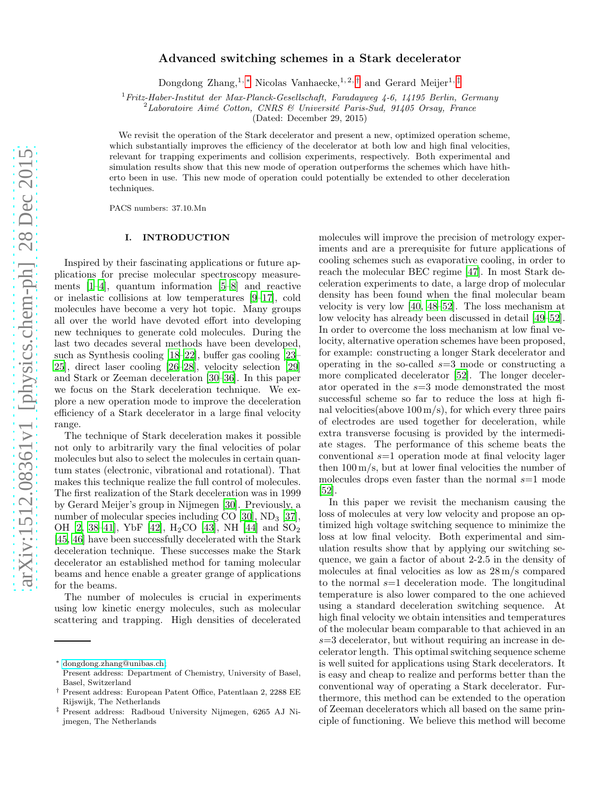# Advanced switching schemes in a Stark decelerator

Dongdong Zhang,<sup>1, [∗](#page-0-0)</sup> Nicolas Vanhaecke,<sup>1,2,[†](#page-0-1)</sup> and Gerard Meijer<sup>1,[‡](#page-0-2)</sup>

 $1$ Fritz-Haber-Institut der Max-Planck-Gesellschaft, Faradayweg 4-6, 14195 Berlin, Germany

<sup>2</sup>Laboratoire Aimé Cotton, CNRS & Université Paris-Sud, 91405 Orsay, France

(Dated: December 29, 2015)

We revisit the operation of the Stark decelerator and present a new, optimized operation scheme, which substantially improves the efficiency of the decelerator at both low and high final velocities, relevant for trapping experiments and collision experiments, respectively. Both experimental and simulation results show that this new mode of operation outperforms the schemes which have hitherto been in use. This new mode of operation could potentially be extended to other deceleration techniques.

PACS numbers: 37.10.Mn

## I. INTRODUCTION

Inspired by their fascinating applications or future applications for precise molecular spectroscopy measurements [\[1](#page-7-0)[–4\]](#page-7-1), quantum information [\[5](#page-7-2)[–8\]](#page-7-3) and reactive or inelastic collisions at low temperatures [\[9](#page-7-4)[–17\]](#page-7-5), cold molecules have become a very hot topic. Many groups all over the world have devoted effort into developing new techniques to generate cold molecules. During the last two decades several methods have been developed, such as Synthesis cooling [\[18](#page-7-6)[–22\]](#page-7-7), buffer gas cooling [\[23](#page-7-8)– [25\]](#page-7-9), direct laser cooling [\[26](#page-7-10)[–28\]](#page-7-11), velocity selection [\[29](#page-7-12)] and Stark or Zeeman deceleration [\[30](#page-7-13)[–36\]](#page-7-14). In this paper we focus on the Stark deceleration technique. We explore a new operation mode to improve the deceleration efficiency of a Stark decelerator in a large final velocity range.

The technique of Stark deceleration makes it possible not only to arbitrarily vary the final velocities of polar molecules but also to select the molecules in certain quantum states (electronic, vibrational and rotational). That makes this technique realize the full control of molecules. The first realization of the Stark deceleration was in 1999 by Gerard Meijer's group in Nijmegen [\[30\]](#page-7-13). Previously, a number of molecular species including CO  $[30]$ , ND<sub>3</sub>  $[37]$ , OH [\[2](#page-7-16), [38](#page-7-17)[–41\]](#page-7-18), YbF [\[42](#page-7-19)], H<sub>2</sub>CO [\[43\]](#page-8-0), NH [\[44](#page-8-1)] and  $SO_2$ [\[45,](#page-8-2) [46](#page-8-3)] have been successfully decelerated with the Stark deceleration technique. These successes make the Stark decelerator an established method for taming molecular beams and hence enable a greater grange of applications for the beams.

The number of molecules is crucial in experiments using low kinetic energy molecules, such as molecular scattering and trapping. High densities of decelerated

molecules will improve the precision of metrology experiments and are a prerequisite for future applications of cooling schemes such as evaporative cooling, in order to reach the molecular BEC regime [\[47](#page-8-4)]. In most Stark deceleration experiments to date, a large drop of molecular density has been found when the final molecular beam velocity is very low [\[40](#page-7-20), [48](#page-8-5)[–52\]](#page-8-6). The loss mechanism at low velocity has already been discussed in detail [\[49](#page-8-7)[–52\]](#page-8-6). In order to overcome the loss mechanism at low final velocity, alternative operation schemes have been proposed, for example: constructing a longer Stark decelerator and operating in the so-called  $s=3$  mode or constructing a more complicated decelerator [\[52\]](#page-8-6). The longer decelerator operated in the s=3 mode demonstrated the most successful scheme so far to reduce the loss at high final velocities (above  $100 \,\mathrm{m/s}$ ), for which every three pairs of electrodes are used together for deceleration, while extra transverse focusing is provided by the intermediate stages. The performance of this scheme beats the conventional  $s=1$  operation mode at final velocity lager then 100 m/s, but at lower final velocities the number of molecules drops even faster than the normal  $s=1$  mode [\[52\]](#page-8-6).

In this paper we revisit the mechanism causing the loss of molecules at very low velocity and propose an optimized high voltage switching sequence to minimize the loss at low final velocity. Both experimental and simulation results show that by applying our switching sequence, we gain a factor of about 2-2.5 in the density of molecules at final velocities as low as 28 m/s compared to the normal  $s=1$  deceleration mode. The longitudinal temperature is also lower compared to the one achieved using a standard deceleration switching sequence. At high final velocity we obtain intensities and temperatures of the molecular beam comparable to that achieved in an  $s=3$  decelerator, but without requiring an increase in decelerator length. This optimal switching sequence scheme is well suited for applications using Stark decelerators. It is easy and cheap to realize and performs better than the conventional way of operating a Stark decelerator. Furthermore, this method can be extended to the operation of Zeeman decelerators which all based on the same principle of functioning. We believe this method will become

<span id="page-0-0"></span><sup>∗</sup> [dongdong.zhang@unibas.ch;](mailto:dongdong.zhang@unibas.ch)

Present address: Department of Chemistry, University of Basel, Basel, Switzerland

<span id="page-0-1"></span><sup>†</sup> Present address: European Patent Office, Patentlaan 2, 2288 EE Rijswijk, The Netherlands

<span id="page-0-2"></span><sup>‡</sup> Present address: Radboud University Nijmegen, 6265 AJ Nijmegen, The Netherlands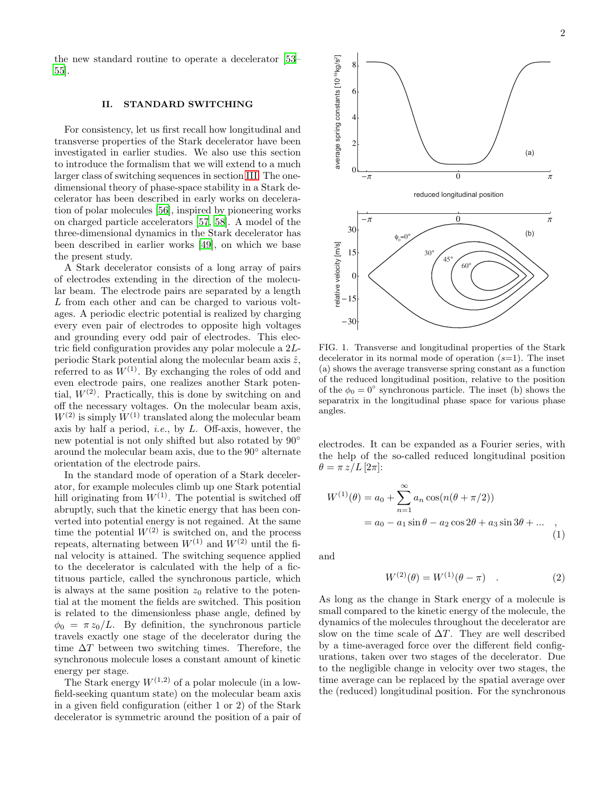the new standard routine to operate a decelerator [\[53](#page-8-8)– [55\]](#page-8-9).

### II. STANDARD SWITCHING

For consistency, let us first recall how longitudinal and transverse properties of the Stark decelerator have been investigated in earlier studies. We also use this section to introduce the formalism that we will extend to a much larger class of switching sequences in section [III.](#page-3-0) The onedimensional theory of phase-space stability in a Stark decelerator has been described in early works on deceleration of polar molecules [\[56](#page-8-10)], inspired by pioneering works on charged particle accelerators [\[57,](#page-8-11) [58\]](#page-8-12). A model of the three-dimensional dynamics in the Stark decelerator has been described in earlier works [\[49\]](#page-8-7), on which we base the present study.

A Stark decelerator consists of a long array of pairs of electrodes extending in the direction of the molecular beam. The electrode pairs are separated by a length L from each other and can be charged to various voltages. A periodic electric potential is realized by charging every even pair of electrodes to opposite high voltages and grounding every odd pair of electrodes. This electric field configuration provides any polar molecule a 2Lperiodic Stark potential along the molecular beam axis  $\hat{z}$ , referred to as  $W^{(1)}$ . By exchanging the roles of odd and even electrode pairs, one realizes another Stark potential,  $W^{(2)}$ . Practically, this is done by switching on and off the necessary voltages. On the molecular beam axis,  $W^{(2)}$  is simply  $W^{(1)}$  translated along the molecular beam axis by half a period, *i.e.*, by  $L$ . Off-axis, however, the new potential is not only shifted but also rotated by 90◦ around the molecular beam axis, due to the 90◦ alternate orientation of the electrode pairs.

In the standard mode of operation of a Stark decelerator, for example molecules climb up one Stark potential hill originating from  $W^{(1)}$ . The potential is switched off abruptly, such that the kinetic energy that has been converted into potential energy is not regained. At the same time the potential  $W^{(2)}$  is switched on, and the process repeats, alternating between  $W^{(1)}$  and  $W^{(2)}$  until the final velocity is attained. The switching sequence applied to the decelerator is calculated with the help of a fictituous particle, called the synchronous particle, which is always at the same position  $z_0$  relative to the potential at the moment the fields are switched. This position is related to the dimensionless phase angle, defined by  $\phi_0 = \pi z_0/L$ . By definition, the synchronous particle travels exactly one stage of the decelerator during the time  $\Delta T$  between two switching times. Therefore, the synchronous molecule loses a constant amount of kinetic energy per stage.

The Stark energy  $W^{(1,2)}$  of a polar molecule (in a lowfield-seeking quantum state) on the molecular beam axis in a given field configuration (either 1 or 2) of the Stark decelerator is symmetric around the position of a pair of



<span id="page-1-0"></span>FIG. 1. Transverse and longitudinal properties of the Stark decelerator in its normal mode of operation  $(s=1)$ . The inset (a) shows the average transverse spring constant as a function of the reduced longitudinal position, relative to the position of the  $\phi_0 = 0^\circ$  synchronous particle. The inset (b) shows the separatrix in the longitudinal phase space for various phase angles.

electrodes. It can be expanded as a Fourier series, with the help of the so-called reduced longitudinal position  $\theta = \pi z/L$  [2 $\pi$ ]:

$$
W^{(1)}(\theta) = a_0 + \sum_{n=1}^{\infty} a_n \cos(n(\theta + \pi/2))
$$
  
=  $a_0 - a_1 \sin \theta - a_2 \cos 2\theta + a_3 \sin 3\theta + ...$  (1)

and

$$
W^{(2)}(\theta) = W^{(1)}(\theta - \pi) \quad . \tag{2}
$$

As long as the change in Stark energy of a molecule is small compared to the kinetic energy of the molecule, the dynamics of the molecules throughout the decelerator are slow on the time scale of  $\Delta T$ . They are well described by a time-averaged force over the different field configurations, taken over two stages of the decelerator. Due to the negligible change in velocity over two stages, the time average can be replaced by the spatial average over the (reduced) longitudinal position. For the synchronous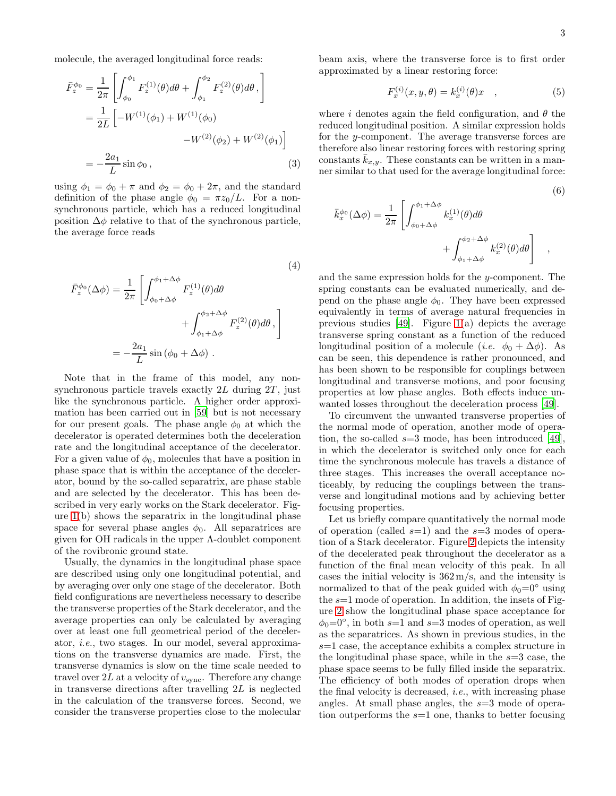molecule, the averaged longitudinal force reads:

$$
\bar{F}_{z}^{\phi_{0}} = \frac{1}{2\pi} \left[ \int_{\phi_{0}}^{\phi_{1}} F_{z}^{(1)}(\theta) d\theta + \int_{\phi_{1}}^{\phi_{2}} F_{z}^{(2)}(\theta) d\theta, \right]
$$

$$
= \frac{1}{2L} \left[ -W^{(1)}(\phi_{1}) + W^{(1)}(\phi_{0}) - W^{(2)}(\phi_{2}) + W^{(2)}(\phi_{1}) \right]
$$

$$
= -\frac{2a_{1}}{L} \sin \phi_{0}, \qquad (3)
$$

using  $\phi_1 = \phi_0 + \pi$  and  $\phi_2 = \phi_0 + 2\pi$ , and the standard definition of the phase angle  $\phi_0 = \pi z_0/L$ . For a nonsynchronous particle, which has a reduced longitudinal position  $\Delta \phi$  relative to that of the synchronous particle, the average force reads

<span id="page-2-0"></span>
$$
\bar{F}_z^{\phi_0}(\Delta \phi) = \frac{1}{2\pi} \left[ \int_{\phi_0 + \Delta \phi}^{\phi_1 + \Delta \phi} F_z^{(1)}(\theta) d\theta + \int_{\phi_1 + \Delta \phi}^{\phi_2 + \Delta \phi} F_z^{(2)}(\theta) d\theta \right]
$$
\n
$$
= -\frac{2a_1}{L} \sin (\phi_0 + \Delta \phi) .
$$
\n(4)

Note that in the frame of this model, any nonsynchronous particle travels exactly  $2L$  during  $2T$ , just like the synchronous particle. A higher order approximation has been carried out in [\[59\]](#page-8-13) but is not necessary for our present goals. The phase angle  $\phi_0$  at which the decelerator is operated determines both the deceleration rate and the longitudinal acceptance of the decelerator. For a given value of  $\phi_0$ , molecules that have a position in phase space that is within the acceptance of the decelerator, bound by the so-called separatrix, are phase stable and are selected by the decelerator. This has been described in very early works on the Stark decelerator. Figure [1\(](#page-1-0)b) shows the separatrix in the longitudinal phase space for several phase angles  $\phi_0$ . All separatrices are given for OH radicals in the upper Λ-doublet component of the rovibronic ground state.

Usually, the dynamics in the longitudinal phase space are described using only one longitudinal potential, and by averaging over only one stage of the decelerator. Both field configurations are nevertheless necessary to describe the transverse properties of the Stark decelerator, and the average properties can only be calculated by averaging over at least one full geometrical period of the decelerator, i.e., two stages. In our model, several approximations on the transverse dynamics are made. First, the transverse dynamics is slow on the time scale needed to travel over  $2L$  at a velocity of  $v_{\text{sync}}$ . Therefore any change in transverse directions after travelling 2L is neglected in the calculation of the transverse forces. Second, we consider the transverse properties close to the molecular

beam axis, where the transverse force is to first order approximated by a linear restoring force:

$$
F_x^{(i)}(x, y, \theta) = k_x^{(i)}(\theta)x \quad , \tag{5}
$$

where i denotes again the field configuration, and  $\theta$  the reduced longitudinal position. A similar expression holds for the y-component. The average transverse forces are therefore also linear restoring forces with restoring spring constants  $\overline{k}_{x,y}$ . These constants can be written in a manner similar to that used for the average longitudinal force:

$$
(6)
$$

$$
\bar{k}_x^{\phi_0}(\Delta \phi) = \frac{1}{2\pi} \left[ \int_{\phi_0 + \Delta \phi}^{\phi_1 + \Delta \phi} k_x^{(1)}(\theta) d\theta + \int_{\phi_1 + \Delta \phi}^{\phi_2 + \Delta \phi} k_x^{(2)}(\theta) d\theta \right],
$$

and the same expression holds for the y-component. The spring constants can be evaluated numerically, and depend on the phase angle  $\phi_0$ . They have been expressed equivalently in terms of average natural frequencies in previous studies [\[49\]](#page-8-7). Figure  $1(a)$  depicts the average transverse spring constant as a function of the reduced longitudinal position of a molecule (*i.e.*  $\phi_0 + \Delta \phi$ ). As can be seen, this dependence is rather pronounced, and has been shown to be responsible for couplings between longitudinal and transverse motions, and poor focusing properties at low phase angles. Both effects induce unwanted losses throughout the deceleration process [\[49\]](#page-8-7).

To circumvent the unwanted transverse properties of the normal mode of operation, another mode of operation, the so-called  $s=3$  mode, has been introduced [\[49\]](#page-8-7), in which the decelerator is switched only once for each time the synchronous molecule has travels a distance of three stages. This increases the overall acceptance noticeably, by reducing the couplings between the transverse and longitudinal motions and by achieving better focusing properties.

Let us briefly compare quantitatively the normal mode of operation (called  $s=1$ ) and the  $s=3$  modes of operation of a Stark decelerator. Figure [2](#page-3-1) depicts the intensity of the decelerated peak throughout the decelerator as a function of the final mean velocity of this peak. In all cases the initial velocity is  $362 \,\mathrm{m/s}$ , and the intensity is normalized to that of the peak guided with  $\phi_0=0$ ° using the  $s=1$  mode of operation. In addition, the insets of Figure [2](#page-3-1) show the longitudinal phase space acceptance for  $\phi_0 = 0^\circ$ , in both s=1 and s=3 modes of operation, as well as the separatrices. As shown in previous studies, in the  $s=1$  case, the acceptance exhibits a complex structure in the longitudinal phase space, while in the  $s=3$  case, the phase space seems to be fully filled inside the separatrix. The efficiency of both modes of operation drops when the final velocity is decreased, i.e., with increasing phase angles. At small phase angles, the  $s=3$  mode of operation outperforms the  $s=1$  one, thanks to better focusing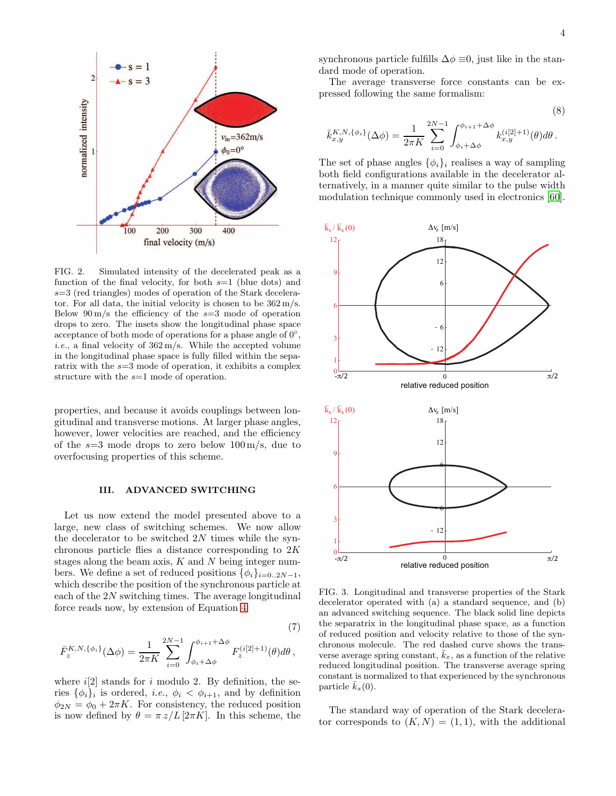

<span id="page-3-1"></span>FIG. 2. Simulated intensity of the decelerated peak as a function of the final velocity, for both  $s=1$  (blue dots) and  $s=3$  (red triangles) modes of operation of the Stark decelerator. For all data, the initial velocity is chosen to be 362 m/s. Below  $90 \text{ m/s}$  the efficiency of the  $s=3$  mode of operation drops to zero. The insets show the longitudinal phase space acceptance of both mode of operations for a phase angle of  $0^{\circ}$ , *i.e.*, a final velocity of  $362 \text{ m/s}$ . While the accepted volume in the longitudinal phase space is fully filled within the separatrix with the  $s=3$  mode of operation, it exhibits a complex structure with the  $s=1$  mode of operation.

properties, and because it avoids couplings between longitudinal and transverse motions. At larger phase angles, however, lower velocities are reached, and the efficiency of the  $s=3$  mode drops to zero below  $100 \,\mathrm{m/s}$ , due to overfocusing properties of this scheme.

#### <span id="page-3-0"></span>III. ADVANCED SWITCHING

Let us now extend the model presented above to a large, new class of switching schemes. We now allow the decelerator to be switched  $2N$  times while the synchronous particle flies a distance corresponding to  $2K$ stages along the beam axis,  $K$  and  $N$  being integer numbers. We define a set of reduced positions  $\{\phi_i\}_{i=0..2N-1}$ , which describe the position of the synchronous particle at each of the  $2N$  switching times. The average longitudinal force reads now, by extension of Equation [4:](#page-2-0)

(7)  
\n
$$
\bar{F}_z^{K,N,\{\phi_i\}}(\Delta\phi) = \frac{1}{2\pi K} \sum_{i=0}^{2N-1} \int_{\phi_i + \Delta\phi}^{\phi_{i+1} + \Delta\phi} F_z^{(i[2]+1)}(\theta) d\theta,
$$

where  $i[2]$  stands for i modulo 2. By definition, the series  $\{\phi_i\}_i$  is ordered, *i.e.*,  $\phi_i < \phi_{i+1}$ , and by definition  $\phi_{2N} = \phi_0 + 2\pi K$ . For consistency, the reduced position is now defined by  $\theta = \pi z/L$  [2 $\pi K$ ]. In this scheme, the synchronous particle fulfills  $\Delta \phi \equiv 0$ , just like in the standard mode of operation.

The average transverse force constants can be expressed following the same formalism:

$$
(\mathbf{8})
$$

$$
\bar{k}_{x,y}^{K,N,\{\phi_i\}}(\Delta\phi) = \frac{1}{2\pi K} \sum_{i=0}^{2N-1} \int_{\phi_i + \Delta\phi}^{\phi_{i+1} + \Delta\phi} k_{x,y}^{(i[2]+1)}(\theta) d\theta.
$$

The set of phase angles  $\{\phi_i\}_i$  realises a way of sampling both field configurations available in the decelerator alternatively, in a manner quite similar to the pulse width modulation technique commonly used in electronics [\[60\]](#page-8-14).



<span id="page-3-2"></span>FIG. 3. Longitudinal and transverse properties of the Stark decelerator operated with (a) a standard sequence, and (b) an advanced switching sequence. The black solid line depicts the separatrix in the longitudinal phase space, as a function of reduced position and velocity relative to those of the synchronous molecule. The red dashed curve shows the transverse average spring constant,  $\bar{k}_x$ , as a function of the relative reduced longitudinal position. The transverse average spring constant is normalized to that experienced by the synchronous particle  $k_x(0)$ .

The standard way of operation of the Stark decelerator corresponds to  $(K, N) = (1, 1)$ , with the additional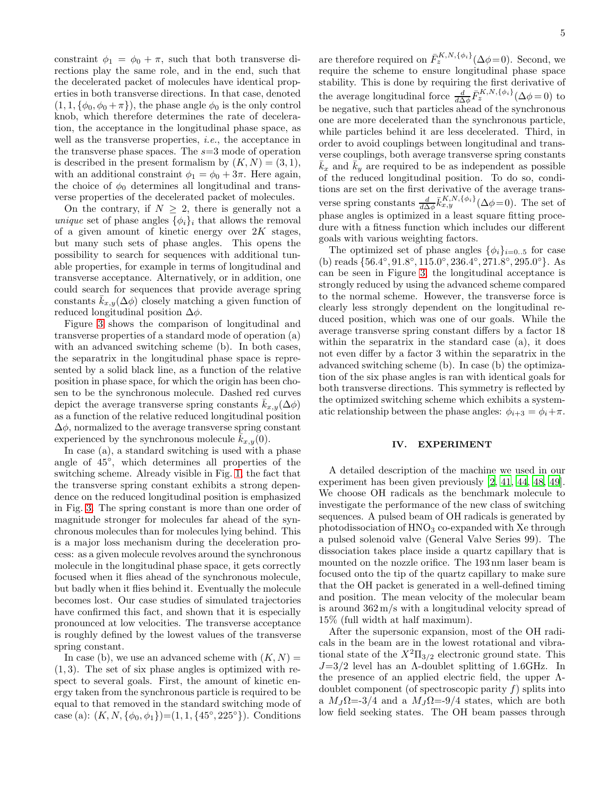constraint  $\phi_1 = \phi_0 + \pi$ , such that both transverse directions play the same role, and in the end, such that the decelerated packet of molecules have identical properties in both transverse directions. In that case, denoted  $(1, 1, \{\phi_0, \phi_0 + \pi\})$ , the phase angle  $\phi_0$  is the only control knob, which therefore determines the rate of deceleration, the acceptance in the longitudinal phase space, as well as the transverse properties, *i.e.*, the acceptance in the transverse phase spaces. The  $s=3$  mode of operation is described in the present formalism by  $(K, N) = (3, 1),$ with an additional constraint  $\phi_1 = \phi_0 + 3\pi$ . Here again, the choice of  $\phi_0$  determines all longitudinal and transverse properties of the decelerated packet of molecules.

On the contrary, if  $N \geq 2$ , there is generally not a unique set of phase angles  $\{\phi_i\}_i$  that allows the removal of a given amount of kinetic energy over  $2K$  stages, but many such sets of phase angles. This opens the possibility to search for sequences with additional tunable properties, for example in terms of longitudinal and transverse acceptance. Alternatively, or in addition, one could search for sequences that provide average spring constants  $k_{x,y}(\Delta \phi)$  closely matching a given function of reduced longitudinal position  $\Delta \phi$ .

Figure [3](#page-3-2) shows the comparison of longitudinal and transverse properties of a standard mode of operation (a) with an advanced switching scheme (b). In both cases, the separatrix in the longitudinal phase space is represented by a solid black line, as a function of the relative position in phase space, for which the origin has been chosen to be the synchronous molecule. Dashed red curves depict the average transverse spring constants  $k_{x,y}(\Delta \phi)$ as a function of the relative reduced longitudinal position  $\Delta\phi$ , normalized to the average transverse spring constant experienced by the synchronous molecule  $k_{x,y}(0)$ .

In case (a), a standard switching is used with a phase angle of 45◦ , which determines all properties of the switching scheme. Already visible in Fig. [1,](#page-1-0) the fact that the transverse spring constant exhibits a strong dependence on the reduced longitudinal position is emphasized in Fig. [3.](#page-3-2) The spring constant is more than one order of magnitude stronger for molecules far ahead of the synchronous molecules than for molecules lying behind. This is a major loss mechanism during the deceleration process: as a given molecule revolves around the synchronous molecule in the longitudinal phase space, it gets correctly focused when it flies ahead of the synchronous molecule, but badly when it flies behind it. Eventually the molecule becomes lost. Our case studies of simulated trajectories have confirmed this fact, and shown that it is especially pronounced at low velocities. The transverse acceptance is roughly defined by the lowest values of the transverse spring constant.

In case (b), we use an advanced scheme with  $(K, N)$  =  $(1, 3)$ . The set of six phase angles is optimized with respect to several goals. First, the amount of kinetic energy taken from the synchronous particle is required to be equal to that removed in the standard switching mode of case (a):  $(K, N, \{\phi_0, \phi_1\}) = (1, 1, \{45^\circ, 225^\circ\})$ . Conditions

are therefore required on  $\bar{F}_{z}^{K,N,\{\phi_i\}}(\Delta\phi=0)$ . Second, we require the scheme to ensure longitudinal phase space stability. This is done by requiring the first derivative of the average longitudinal force  $\frac{d}{d\Delta\phi}\bar{F}_{z}^{K,N,\{\phi_{i}\}}(\Delta\phi=0)$  to be negative, such that particles ahead of the synchronous one are more decelerated than the synchronous particle, while particles behind it are less decelerated. Third, in order to avoid couplings between longitudinal and transverse couplings, both average transverse spring constants  $\overline{k_x}$  and  $\overline{k_y}$  are required to be as independent as possible of the reduced longitudinal position. To do so, conditions are set on the first derivative of the average transverse spring constants  $\frac{d}{d\Delta\phi} \bar{k}_{x,y}^{K,N, \{\phi_i\}}(\Delta\phi=0)$ . The set of phase angles is optimized in a least square fitting procedure with a fitness function which includes our different goals with various weighting factors.

The optimized set of phase angles  $\{\phi_i\}_{i=0..5}$  for case (b) reads  ${56.4^{\circ}, 91.8^{\circ}, 115.0^{\circ}, 236.4^{\circ}, 271.8^{\circ}, 295.0^{\circ}}$ . As can be seen in Figure [3,](#page-3-2) the longitudinal acceptance is strongly reduced by using the advanced scheme compared to the normal scheme. However, the transverse force is clearly less strongly dependent on the longitudinal reduced position, which was one of our goals. While the average transverse spring constant differs by a factor 18 within the separatrix in the standard case (a), it does not even differ by a factor 3 within the separatrix in the advanced switching scheme (b). In case (b) the optimization of the six phase angles is ran with identical goals for both transverse directions. This symmetry is reflected by the optimized switching scheme which exhibits a systematic relationship between the phase angles:  $\phi_{i+3} = \phi_i + \pi$ .

### IV. EXPERIMENT

A detailed description of the machine we used in our experiment has been given previously [\[2,](#page-7-16) [41](#page-7-18), [44](#page-8-1), [48](#page-8-5), [49\]](#page-8-7). We choose OH radicals as the benchmark molecule to investigate the performance of the new class of switching sequences. A pulsed beam of OH radicals is generated by photodissociation of  $HNO<sub>3</sub>$  co-expanded with Xe through a pulsed solenoid valve (General Valve Series 99). The dissociation takes place inside a quartz capillary that is mounted on the nozzle orifice. The 193 nm laser beam is focused onto the tip of the quartz capillary to make sure that the OH packet is generated in a well-defined timing and position. The mean velocity of the molecular beam is around 362 m/s with a longitudinal velocity spread of 15% (full width at half maximum).

After the supersonic expansion, most of the OH radicals in the beam are in the lowest rotational and vibrational state of the  $X^2\Pi_{3/2}$  electronic ground state. This  $J=3/2$  level has an  $\Lambda$ -doublet splitting of 1.6GHz. In the presence of an applied electric field, the upper Λdoublet component (of spectroscopic parity  $f$ ) splits into a  $M_J\Omega = 3/4$  and a  $M_J\Omega = 9/4$  states, which are both low field seeking states. The OH beam passes through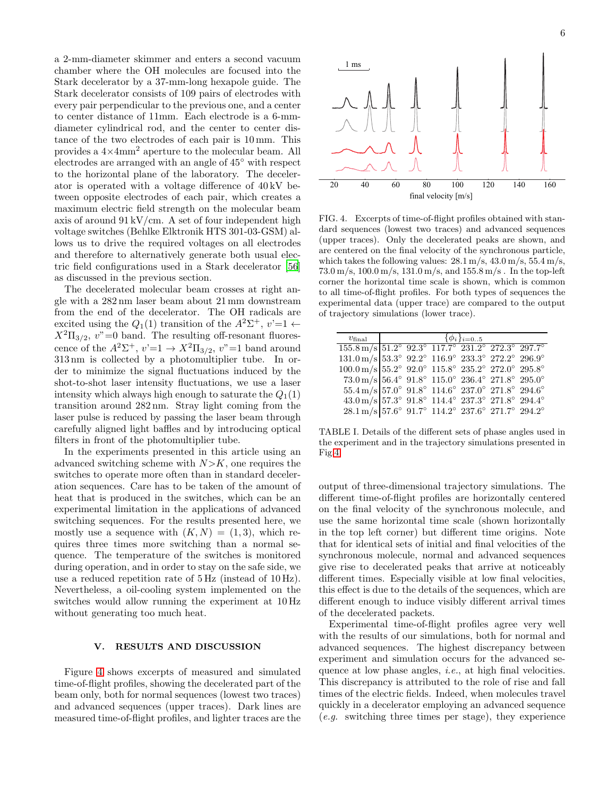a 2-mm-diameter skimmer and enters a second vacuum chamber where the OH molecules are focused into the Stark decelerator by a 37-mm-long hexapole guide. The Stark decelerator consists of 109 pairs of electrodes with every pair perpendicular to the previous one, and a center to center distance of 11mm. Each electrode is a 6-mmdiameter cylindrical rod, and the center to center distance of the two electrodes of each pair is 10 mm. This provides a  $4\times4$ mm<sup>2</sup> aperture to the molecular beam. All electrodes are arranged with an angle of 45◦ with respect to the horizontal plane of the laboratory. The decelerator is operated with a voltage difference of 40 kV between opposite electrodes of each pair, which creates a maximum electric field strength on the molecular beam axis of around  $91 \text{kV/cm}$ . A set of four independent high voltage switches (Behlke Elktronik HTS 301-03-GSM) allows us to drive the required voltages on all electrodes and therefore to alternatively generate both usual electric field configurations used in a Stark decelerator [\[56](#page-8-10)] as discussed in the previous section.

The decelerated molecular beam crosses at right angle with a 282 nm laser beam about 21 mm downstream from the end of the decelerator. The OH radicals are excited using the  $Q_1(1)$  transition of the  $A^2\Sigma^+$ ,  $v'=1$   $\leftarrow$  $X^2\Pi_{3/2}$ ,  $v^*$ =0 band. The resulting off-resonant fluorescence of the  $A^2\Sigma^+$ ,  $v'=1 \rightarrow X^2\Pi_{3/2}$ ,  $v"=1$  band around 313 nm is collected by a photomultiplier tube. In order to minimize the signal fluctuations induced by the shot-to-shot laser intensity fluctuations, we use a laser intensity which always high enough to saturate the  $Q_1(1)$ transition around 282 nm. Stray light coming from the laser pulse is reduced by passing the laser beam through carefully aligned light baffles and by introducing optical filters in front of the photomultiplier tube.

In the experiments presented in this article using an advanced switching scheme with  $N>K$ , one requires the switches to operate more often than in standard deceleration sequences. Care has to be taken of the amount of heat that is produced in the switches, which can be an experimental limitation in the applications of advanced switching sequences. For the results presented here, we mostly use a sequence with  $(K, N) = (1, 3)$ , which requires three times more switching than a normal sequence. The temperature of the switches is monitored during operation, and in order to stay on the safe side, we use a reduced repetition rate of 5 Hz (instead of 10 Hz). Nevertheless, a oil-cooling system implemented on the switches would allow running the experiment at 10 Hz without generating too much heat.

### V. RESULTS AND DISCUSSION

Figure [4](#page-5-0) shows excerpts of measured and simulated time-of-flight profiles, showing the decelerated part of the beam only, both for normal sequences (lowest two traces) and advanced sequences (upper traces). Dark lines are measured time-of-flight profiles, and lighter traces are the



<span id="page-5-0"></span>FIG. 4. Excerpts of time-of-flight profiles obtained with standard sequences (lowest two traces) and advanced sequences (upper traces). Only the decelerated peaks are shown, and are centered on the final velocity of the synchronous particle, which takes the following values:  $28.1 \text{ m/s}, 43.0 \text{ m/s}, 55.4 \text{ m/s},$ 73.0 m/s, 100.0 m/s, 131.0 m/s, and 155.8 m/s . In the top-left corner the horizontal time scale is shown, which is common to all time-of-flight profiles. For both types of sequences the experimental data (upper trace) are compared to the output of trajectory simulations (lower trace).

| $v_{\text{final}}$                                                                                                                                                                                                                                                                                                                                                        | $\{\phi_i\}_{i=05}$ |  |  |  |  |  |
|---------------------------------------------------------------------------------------------------------------------------------------------------------------------------------------------------------------------------------------------------------------------------------------------------------------------------------------------------------------------------|---------------------|--|--|--|--|--|
|                                                                                                                                                                                                                                                                                                                                                                           |                     |  |  |  |  |  |
|                                                                                                                                                                                                                                                                                                                                                                           |                     |  |  |  |  |  |
| $\frac{155.8\,\mathrm{m/s}}{150.0\,\mathrm{m/s}}\,\frac{51.2^{\circ}}{53.3^{\circ}}\,\frac{92.3^{\circ}}{117.7^{\circ}}\,\frac{231.2^{\circ}}{272.3^{\circ}}\,\frac{297.7^{\circ}}{272.3^{\circ}}\,\frac{297.7^{\circ}}{210.0\,\mathrm{m/s}}\,\frac{53.3^{\circ}}{55.2^{\circ}}\,\frac{92.2^{\circ}}{115.8^{\circ}}\,\frac{233.3^{\circ}}{255.2^{\circ}}\,\frac{272.2^{\$ |                     |  |  |  |  |  |
| $\begin{array}{c cccccc} 73.0\,\text{m/s} & 56.4^{\circ} & 91.8^{\circ} & 115.0^{\circ} & 236.4^{\circ} & 271.8^{\circ} & 295.0^{\circ} \\ 55.4\,\text{m/s} & 57.0^{\circ} & 91.8^{\circ} & 114.6^{\circ} & 237.0^{\circ} & 271.8^{\circ} & 294.6^{\circ} \end{array}$                                                                                                    |                     |  |  |  |  |  |
|                                                                                                                                                                                                                                                                                                                                                                           |                     |  |  |  |  |  |
| $43.0 \,\mathrm{m/s}$ 57.3° $91.8^\circ$ 114.4° $237.3^\circ$ 271.8° $294.4^\circ$                                                                                                                                                                                                                                                                                        |                     |  |  |  |  |  |
| $28.1 \text{ m/s}$ 57.6° 91.7° 114.2° 237.6° 271.7° 294.2°                                                                                                                                                                                                                                                                                                                |                     |  |  |  |  |  |

TABLE I. Details of the different sets of phase angles used in the experiment and in the trajectory simulations presented in Fig[.4.](#page-5-0)

output of three-dimensional trajectory simulations. The different time-of-flight profiles are horizontally centered on the final velocity of the synchronous molecule, and use the same horizontal time scale (shown horizontally in the top left corner) but different time origins. Note that for identical sets of initial and final velocities of the synchronous molecule, normal and advanced sequences give rise to decelerated peaks that arrive at noticeably different times. Especially visible at low final velocities, this effect is due to the details of the sequences, which are different enough to induce visibly different arrival times of the decelerated packets.

Experimental time-of-flight profiles agree very well with the results of our simulations, both for normal and advanced sequences. The highest discrepancy between experiment and simulation occurs for the advanced sequence at low phase angles, *i.e.*, at high final velocities. This discrepancy is attributed to the role of rise and fall times of the electric fields. Indeed, when molecules travel quickly in a decelerator employing an advanced sequence (e.g. switching three times per stage), they experience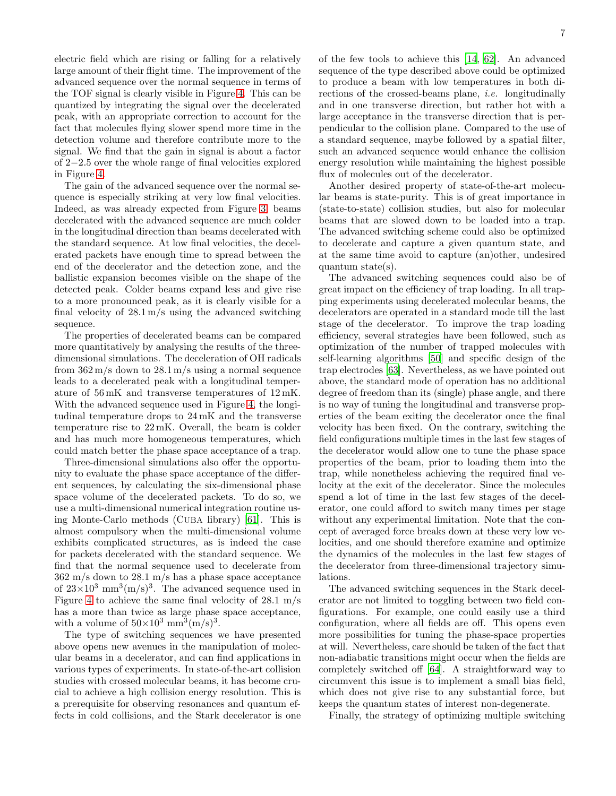electric field which are rising or falling for a relatively large amount of their flight time. The improvement of the advanced sequence over the normal sequence in terms of the TOF signal is clearly visible in Figure [4.](#page-5-0) This can be quantized by integrating the signal over the decelerated peak, with an appropriate correction to account for the fact that molecules flying slower spend more time in the detection volume and therefore contribute more to the signal. We find that the gain in signal is about a factor of 2−2.5 over the whole range of final velocities explored in Figure [4.](#page-5-0)

The gain of the advanced sequence over the normal sequence is especially striking at very low final velocities. Indeed, as was already expected from Figure [3,](#page-3-2) beams decelerated with the advanced sequence are much colder in the longitudinal direction than beams decelerated with the standard sequence. At low final velocities, the decelerated packets have enough time to spread between the end of the decelerator and the detection zone, and the ballistic expansion becomes visible on the shape of the detected peak. Colder beams expand less and give rise to a more pronounced peak, as it is clearly visible for a final velocity of 28.1 m/s using the advanced switching sequence.

The properties of decelerated beams can be compared more quantitatively by analysing the results of the threedimensional simulations. The deceleration of OH radicals from  $362 \,\mathrm{m/s}$  down to  $28.1 \,\mathrm{m/s}$  using a normal sequence leads to a decelerated peak with a longitudinal temperature of 56 mK and transverse temperatures of 12 mK. With the advanced sequence used in Figure [4,](#page-5-0) the longitudinal temperature drops to 24 mK and the transverse temperature rise to 22 mK. Overall, the beam is colder and has much more homogeneous temperatures, which could match better the phase space acceptance of a trap.

Three-dimensional simulations also offer the opportunity to evaluate the phase space acceptance of the different sequences, by calculating the six-dimensional phase space volume of the decelerated packets. To do so, we use a multi-dimensional numerical integration routine using Monte-Carlo methods (CUBA library) [\[61](#page-8-15)]. This is almost compulsory when the multi-dimensional volume exhibits complicated structures, as is indeed the case for packets decelerated with the standard sequence. We find that the normal sequence used to decelerate from 362 m/s down to 28.1 m/s has a phase space acceptance of  $23 \times 10^3$  mm<sup>3</sup>(m/s)<sup>3</sup>. The advanced sequence used in Figure [4](#page-5-0) to achieve the same final velocity of 28.1 m/s has a more than twice as large phase space acceptance, with a volume of  $50 \times 10^3$  mm<sup>3</sup>(m/s)<sup>3</sup>.

The type of switching sequences we have presented above opens new avenues in the manipulation of molecular beams in a decelerator, and can find applications in various types of experiments. In state-of-the-art collision studies with crossed molecular beams, it has become crucial to achieve a high collision energy resolution. This is a prerequisite for observing resonances and quantum effects in cold collisions, and the Stark decelerator is one of the few tools to achieve this [\[14](#page-7-21), [62](#page-8-16)]. An advanced sequence of the type described above could be optimized to produce a beam with low temperatures in both directions of the crossed-beams plane, i.e. longitudinally and in one transverse direction, but rather hot with a large acceptance in the transverse direction that is perpendicular to the collision plane. Compared to the use of a standard sequence, maybe followed by a spatial filter, such an advanced sequence would enhance the collision energy resolution while maintaining the highest possible flux of molecules out of the decelerator.

Another desired property of state-of-the-art molecular beams is state-purity. This is of great importance in (state-to-state) collision studies, but also for molecular beams that are slowed down to be loaded into a trap. The advanced switching scheme could also be optimized to decelerate and capture a given quantum state, and at the same time avoid to capture (an)other, undesired quantum state(s).

The advanced switching sequences could also be of great impact on the efficiency of trap loading. In all trapping experiments using decelerated molecular beams, the decelerators are operated in a standard mode till the last stage of the decelerator. To improve the trap loading efficiency, several strategies have been followed, such as optimization of the number of trapped molecules with self-learning algorithms [\[50](#page-8-17)] and specific design of the trap electrodes [\[63\]](#page-8-18). Nevertheless, as we have pointed out above, the standard mode of operation has no additional degree of freedom than its (single) phase angle, and there is no way of tuning the longitudinal and transverse properties of the beam exiting the decelerator once the final velocity has been fixed. On the contrary, switching the field configurations multiple times in the last few stages of the decelerator would allow one to tune the phase space properties of the beam, prior to loading them into the trap, while nonetheless achieving the required final velocity at the exit of the decelerator. Since the molecules spend a lot of time in the last few stages of the decelerator, one could afford to switch many times per stage without any experimental limitation. Note that the concept of averaged force breaks down at these very low velocities, and one should therefore examine and optimize the dynamics of the molecules in the last few stages of the decelerator from three-dimensional trajectory simulations.

The advanced switching sequences in the Stark decelerator are not limited to toggling between two field configurations. For example, one could easily use a third configuration, where all fields are off. This opens even more possibilities for tuning the phase-space properties at will. Nevertheless, care should be taken of the fact that non-adiabatic transitions might occur when the fields are completely switched off [\[64](#page-8-19)]. A straightforward way to circumvent this issue is to implement a small bias field, which does not give rise to any substantial force, but keeps the quantum states of interest non-degenerate.

Finally, the strategy of optimizing multiple switching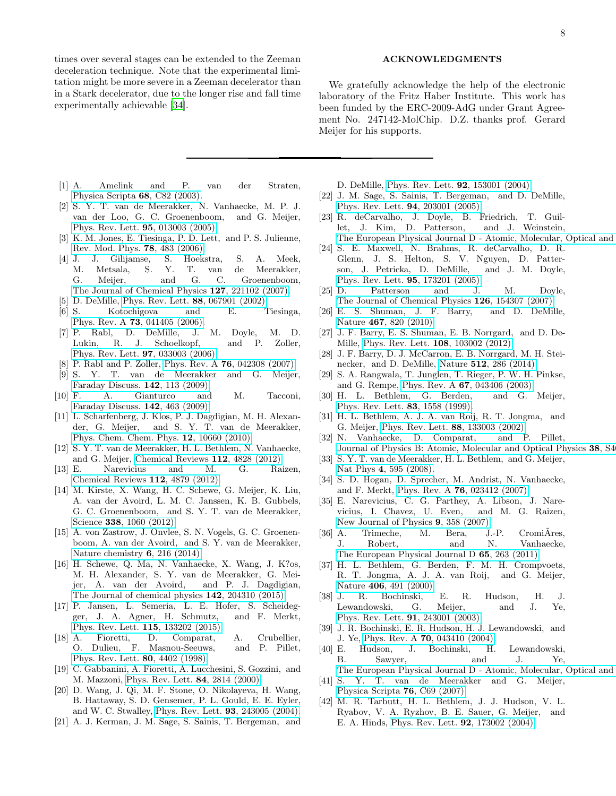times over several stages can be extended to the Zeeman deceleration technique. Note that the experimental limitation might be more severe in a Zeeman decelerator than in a Stark decelerator, due to the longer rise and fall time experimentally achievable [\[34\]](#page-7-22).

## ACKNOWLEDGMENTS

We gratefully acknowledge the help of the electronic laboratory of the Fritz Haber Institute. This work has been funded by the ERC-2009-AdG under Grant Agreement No. 247142-MolChip. D.Z. thanks prof. Gerard Meijer for his supports.

- <span id="page-7-0"></span>[1] A. Amelink and P. van der Straten, [Physica Scripta](http://stacks.iop.org/1402-4896/68/i=3/a=N05) 68, C82 (2003).
- <span id="page-7-16"></span>[2] S. Y. T. van de Meerakker, N. Vanhaecke, M. P. J. van der Loo, G. C. Groenenboom, and G. Meijer, [Phys. Rev. Lett.](http://dx.doi.org/10.1103/PhysRevLett.95.013003) 95, 013003 (2005).
- [3] K. M. Jones, E. Tiesinga, P. D. Lett, and P. S. Julienne, [Rev. Mod. Phys.](http://dx.doi.org/10.1103/RevModPhys.78.483) 78, 483 (2006).
- <span id="page-7-1"></span>[4] J. J. Gilijamse, S. Hoekstra, S. A. Meek, M. Metsala, S. Y. T. van de Meerakker, G. Meijer, and G. C. Groenenboom, [The Journal of Chemical Physics](http://dx.doi.org/ 10.1063/1.2813888) 127, 221102 (2007).
- <span id="page-7-2"></span>[5] D. DeMille, [Phys. Rev. Lett.](http://dx.doi.org/10.1103/PhysRevLett.88.067901) 88, 067901 (2002).
- [6] S. Kotochigova and E. Tiesinga, Phys. Rev. A 73[, 041405 \(2006\).](http://dx.doi.org/10.1103/PhysRevA.73.041405)
- [7] P. Rabl, D. DeMille, J. M. Doyle, M. D. Lukin, R. J. Schoelkopf, and P. Zoller, [Phys. Rev. Lett.](http://dx.doi.org/ 10.1103/PhysRevLett.97.033003) 97, 033003 (2006).
- <span id="page-7-3"></span>[8] P. Rabl and P. Zoller, Phys. Rev. A 76[, 042308 \(2007\).](http://dx.doi.org/10.1103/PhysRevA.76.042308)
- <span id="page-7-4"></span>[9] S. Y. T. van de Meerakker and G. Meijer, [Faraday Discuss.](http://dx.doi.org/10.1039/B819721K) 142, 113 (2009).
- [10] F. A. Gianturco and M. Tacconi, [Faraday Discuss.](http://dx.doi.org/10.1039/B910178K) 142, 463 (2009).
- [11] L. Scharfenberg, J. Klos, P. J. Dagdigian, M. H. Alexander, G. Meijer, and S. Y. T. van de Meerakker, [Phys. Chem. Chem. Phys.](http://dx.doi.org/10.1039/C004422A) 12, 10660 (2010).
- [12] S. Y. T. van de Meerakker, H. L. Bethlem, N. Vanhaecke, and G. Meijer, [Chemical Reviews](http://dx.doi.org/10.1021/cr200349r) 112, 4828 (2012).
- [13] E. Narevicius and M. G. Raizen, [Chemical Reviews](http://dx.doi.org/10.1021/cr2004597) 112, 4879 (2012).
- <span id="page-7-21"></span>[14] M. Kirste, X. Wang, H. C. Schewe, G. Meijer, K. Liu, A. van der Avoird, L. M. C. Janssen, K. B. Gubbels, G. C. Groenenboom, and S. Y. T. van de Meerakker, Science **338**[, 1060 \(2012\).](http://dx.doi.org/ 10.1126/science.1229549)
- [15] A. von Zastrow, J. Onvlee, S. N. Vogels, G. C. Groenenboom, A. van der Avoird, and S. Y. van de Meerakker, [Nature chemistry](http://dx.doi.org/10.1038/nchem.1860) 6, 216 (2014).
- [16] H. Schewe, Q. Ma, N. Vanhaecke, X. Wang, J. K?os, M. H. Alexander, S. Y. van de Meerakker, G. Meijer, A. van der Avoird, and P. J. Dagdigian, [The Journal of chemical physics](http://dx.doi.org/10.1063/1.4921562) 142, 204310 (2015).
- <span id="page-7-5"></span>[17] P. Jansen, L. Semeria, L. E. Hofer, S. Scheidegger, J. A. Agner, H. Schmutz, and F. Merkt, [Phys. Rev. Lett.](http://dx.doi.org/ 10.1103/PhysRevLett.115.133202) 115, 133202 (2015).
- <span id="page-7-6"></span>[18] A. Fioretti, D. Comparat, A. Crubellier, O. Dulieu, F. Masnou-Seeuws, and P. Pillet, [Phys. Rev. Lett.](http://dx.doi.org/ 10.1103/PhysRevLett.80.4402) 80, 4402 (1998).
- [19] C. Gabbanini, A. Fioretti, A. Lucchesini, S. Gozzini, and M. Mazzoni, [Phys. Rev. Lett.](http://dx.doi.org/ 10.1103/PhysRevLett.84.2814) 84, 2814 (2000).
- [20] D. Wang, J. Qi, M. F. Stone, O. Nikolayeva, H. Wang, B. Hattaway, S. D. Gensemer, P. L. Gould, E. E. Eyler, and W. C. Stwalley, [Phys. Rev. Lett.](http://dx.doi.org/10.1103/PhysRevLett.93.243005) 93, 243005 (2004).
- [21] A. J. Kerman, J. M. Sage, S. Sainis, T. Bergeman, and
- D. DeMille, [Phys. Rev. Lett.](http://dx.doi.org/ 10.1103/PhysRevLett.92.153001) 92, 153001 (2004).
- <span id="page-7-7"></span>[22] J. M. Sage, S. Sainis, T. Bergeman, and D. DeMille, [Phys. Rev. Lett.](http://dx.doi.org/10.1103/PhysRevLett.94.203001) 94, 203001 (2005).
- <span id="page-7-8"></span>[23] R. deCarvalho, J. Doyle, B. Friedrich, T. Guillet, J. Kim, D. Patterson, and J. Weinstein, [The European Physical Journal D - Atomic, Molecular, Optical and](http://dx.doi.org/10.1007/s100530050572)
- [24] S. E. Maxwell, N. Brahms, R. deCarvalho, D. R. Glenn, J. S. Helton, S. V. Nguyen, D. Patterson, J. Petricka, D. DeMille, and J. M. Doyle, [Phys. Rev. Lett.](http://dx.doi.org/ 10.1103/PhysRevLett.95.173201) 95, 173201 (2005).
- <span id="page-7-9"></span>[25] D. Patterson and J. M. Doyle, [The Journal of Chemical Physics](http://dx.doi.org/10.1063/1.2717178) 126, 154307 (2007).
- <span id="page-7-10"></span>[26] E. S. Shuman, J. F. Barry, and D. DeMille, Nature 467[, 820 \(2010\).](http://dx.doi.org/10.1038/nature09443)
- [27] J. F. Barry, E. S. Shuman, E. B. Norrgard, and D. De-Mille, [Phys. Rev. Lett.](http://dx.doi.org/10.1103/PhysRevLett.108.103002) 108, 103002 (2012).
- <span id="page-7-11"></span>[28] J. F. Barry, D. J. McCarron, E. B. Norrgard, M. H. Steinecker, and D. DeMille, Nature 512[, 286 \(2014\).](http://dx.doi.org/10.1038/nature13634)
- <span id="page-7-12"></span>[29] S. A. Rangwala, T. Junglen, T. Rieger, P. W. H. Pinkse, and G. Rempe, Phys. Rev. A 67[, 043406 \(2003\).](http://dx.doi.org/ 10.1103/PhysRevA.67.043406)
- <span id="page-7-13"></span>[30] H. L. Bethlem, G. Berden, and G. Meijer, [Phys. Rev. Lett.](http://dx.doi.org/10.1103/PhysRevLett.83.1558) 83, 1558 (1999).
- [31] H. L. Bethlem, A. J. A. van Roij, R. T. Jongma, and G. Meijer, [Phys. Rev. Lett.](http://dx.doi.org/10.1103/PhysRevLett.88.133003) 88, 133003 (2002).
- [32] N. Vanhaecke, D. Comparat, and P. Pillet, [Journal of Physics B: Atomic, Molecular and Optical Physics](http://stacks.iop.org/0953-4075/38/i=2/a=031) 38, S4
- [33] S. Y. T. van de Meerakker, H. L. Bethlem, and G. Meijer, Nat Phys 4[, 595 \(2008\).](http://dx.doi.org/10.1038/nphys1031)
- <span id="page-7-22"></span>[34] S. D. Hogan, D. Sprecher, M. Andrist, N. Vanhaecke, and F. Merkt, Phys. Rev. A 76[, 023412 \(2007\).](http://dx.doi.org/ 10.1103/PhysRevA.76.023412)
- [35] E. Narevicius, C. G. Parthey, A. Libson, J. Narevicius, I. Chavez, U. Even, and M. G. Raizen, [New Journal of Physics](http://stacks.iop.org/1367-2630/9/i=10/a=358) 9, 358 (2007).
- <span id="page-7-14"></span>[36] A. Trimeche, M. Bera, J.-P. CromiAres, J. Robert, and N. Vanhaecke, [The European Physical Journal D](http://dx.doi.org/ 10.1140/epjd/e2011-20096-1) 65, 263 (2011).
- <span id="page-7-15"></span>[37] H. L. Bethlem, G. Berden, F. M. H. Crompvoets, R. T. Jongma, A. J. A. van Roij, and G. Meijer, Nature 406[, 491 \(2000\).](http://dx.doi.org/10.1038/35020030)
- <span id="page-7-17"></span>[38] J. R. Bochinski, E. R. Hudson, H. J. Lewandowski, G. Meijer, and J. Ye, [Phys. Rev. Lett.](http://dx.doi.org/10.1103/PhysRevLett.91.243001) 91, 243001 (2003).
- [39] J. R. Bochinski, E. R. Hudson, H. J. Lewandowski, and J. Ye, Phys. Rev. A 70[, 043410 \(2004\).](http://dx.doi.org/10.1103/PhysRevA.70.043410)
- <span id="page-7-20"></span>[40] E. Hudson, J. Bochinski, H. Lewandowski, B. Sawyer, and J. Ye, [The European Physical Journal D - Atomic, Molecular, Optical and](http://dx.doi.org/ 10.1140/epjd/e2004-00138-7)
- <span id="page-7-18"></span>[41] S. Y. T. van de Meerakker and G. Meijer, [Physica Scripta](http://stacks.iop.org/1402-4896/76/i=3/a=N10) 76, C69 (2007).
- <span id="page-7-19"></span>[42] M. R. Tarbutt, H. L. Bethlem, J. J. Hudson, V. L. Ryabov, V. A. Ryzhov, B. E. Sauer, G. Meijer, and E. A. Hinds, [Phys. Rev. Lett.](http://dx.doi.org/ 10.1103/PhysRevLett.92.173002) 92, 173002 (2004).